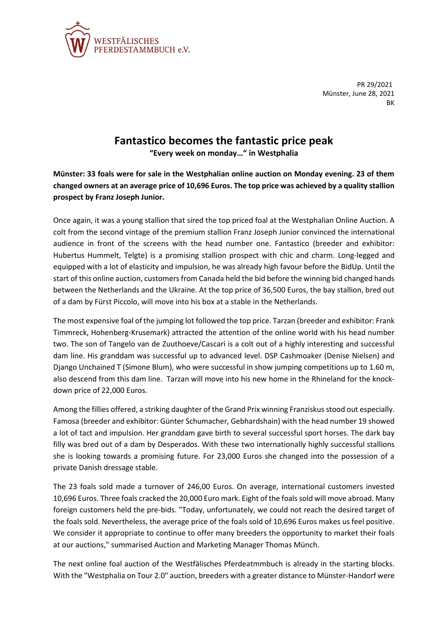

PR 29/2021 Münster, June 28, 2021 **BK** 

## **Fantastico becomes the fantastic price peak**

**"Every week on monday…" in Westphalia**

**Münster: 33 foals were for sale in the Westphalian online auction on Monday evening. 23 of them changed owners at an average price of 10,696 Euros. The top price was achieved by a quality stallion prospect by Franz Joseph Junior.**

Once again, it was a young stallion that sired the top priced foal at the Westphalian Online Auction. A colt from the second vintage of the premium stallion Franz Joseph Junior convinced the international audience in front of the screens with the head number one. Fantastico (breeder and exhibitor: Hubertus Hummelt, Telgte) is a promising stallion prospect with chic and charm. Long-legged and equipped with a lot of elasticity and impulsion, he was already high favour before the BidUp. Until the start of this online auction, customers from Canada held the bid before the winning bid changed hands between the Netherlands and the Ukraine. At the top price of 36,500 Euros, the bay stallion, bred out of a dam by Fürst Piccolo, will move into his box at a stable in the Netherlands.

The most expensive foal of the jumping lot followed the top price. Tarzan (breeder and exhibitor: Frank Timmreck, Hohenberg-Krusemark) attracted the attention of the online world with his head number two. The son of Tangelo van de Zuuthoeve/Cascari is a colt out of a highly interesting and successful dam line. His granddam was successful up to advanced level. DSP Cashmoaker (Denise Nielsen) and Django Unchained T (Simone Blum), who were successful in show jumping competitions up to 1.60 m, also descend from this dam line. Tarzan will move into his new home in the Rhineland for the knockdown price of 22,000 Euros.

Among the fillies offered, a striking daughter of the Grand Prix winning Franziskus stood out especially. Famosa (breeder and exhibitor: Günter Schumacher, Gebhardshain) with the head number 19 showed a lot of tact and impulsion. Her granddam gave birth to several successful sport horses. The dark bay filly was bred out of a dam by Desperados. With these two internationally highly successful stallions she is looking towards a promising future. For 23,000 Euros she changed into the possession of a private Danish dressage stable.

The 23 foals sold made a turnover of 246,00 Euros. On average, international customers invested 10,696 Euros. Three foals cracked the 20,000 Euro mark. Eight of the foals sold will move abroad. Many foreign customers held the pre-bids. "Today, unfortunately, we could not reach the desired target of the foals sold. Nevertheless, the average price of the foals sold of 10,696 Euros makes us feel positive. We consider it appropriate to continue to offer many breeders the opportunity to market their foals at our auctions," summarised Auction and Marketing Manager Thomas Münch.

The next online foal auction of the Westfälisches Pferdeatmmbuch is already in the starting blocks. With the "Westphalia on Tour 2.0" auction, breeders with a greater distance to Münster-Handorf were